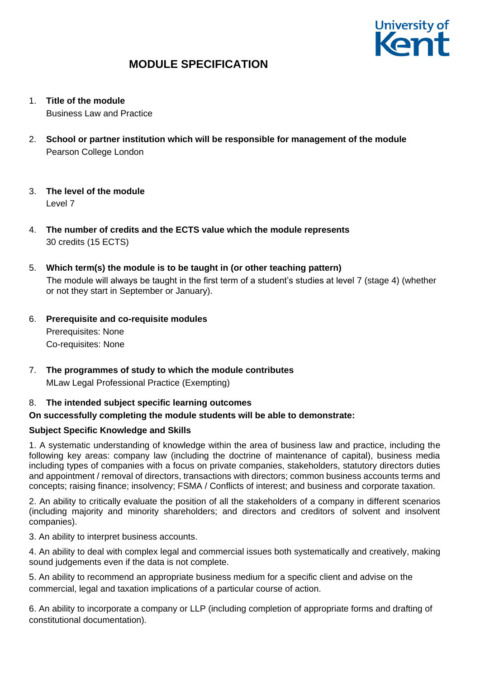

1. **Title of the module**

Business Law and Practice

- 2. **School or partner institution which will be responsible for management of the module** Pearson College London
- 3. **The level of the module**  Level 7
- 4. **The number of credits and the ECTS value which the module represents**  30 credits (15 ECTS)
- 5. **Which term(s) the module is to be taught in (or other teaching pattern)** The module will always be taught in the first term of a student's studies at level 7 (stage 4) (whether or not they start in September or January).
- 6. **Prerequisite and co-requisite modules** Prerequisites: None Co-requisites: None
- 7. **The programmes of study to which the module contributes** MLaw Legal Professional Practice (Exempting)

## 8. **The intended subject specific learning outcomes**

## **On successfully completing the module students will be able to demonstrate:**

## **Subject Specific Knowledge and Skills**

1. A systematic understanding of knowledge within the area of business law and practice, including the following key areas: company law (including the doctrine of maintenance of capital), business media including types of companies with a focus on private companies, stakeholders, statutory directors duties and appointment / removal of directors, transactions with directors; common business accounts terms and concepts; raising finance; insolvency; FSMA / Conflicts of interest; and business and corporate taxation.

2. An ability to critically evaluate the position of all the stakeholders of a company in different scenarios (including majority and minority shareholders; and directors and creditors of solvent and insolvent companies).

3. An ability to interpret business accounts.

4. An ability to deal with complex legal and commercial issues both systematically and creatively, making sound judgements even if the data is not complete.

5. An ability to recommend an appropriate business medium for a specific client and advise on the commercial, legal and taxation implications of a particular course of action.

6. An ability to incorporate a company or LLP (including completion of appropriate forms and drafting of constitutional documentation).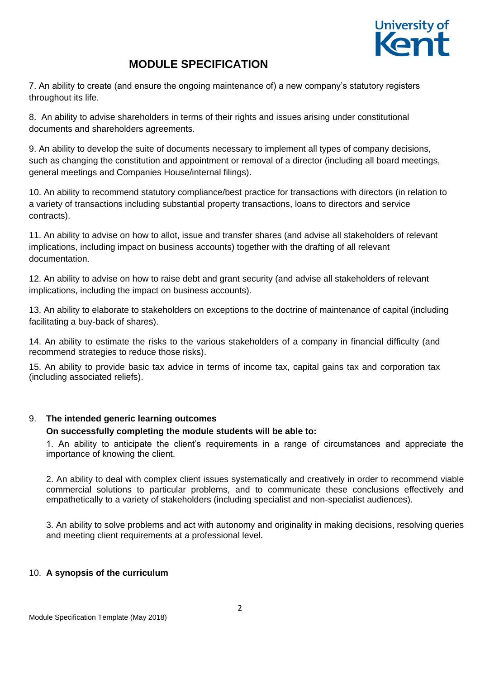

7. An ability to create (and ensure the ongoing maintenance of) a new company's statutory registers throughout its life.

8. An ability to advise shareholders in terms of their rights and issues arising under constitutional documents and shareholders agreements.

9. An ability to develop the suite of documents necessary to implement all types of company decisions, such as changing the constitution and appointment or removal of a director (including all board meetings, general meetings and Companies House/internal filings).

10. An ability to recommend statutory compliance/best practice for transactions with directors (in relation to a variety of transactions including substantial property transactions, loans to directors and service contracts).

11. An ability to advise on how to allot, issue and transfer shares (and advise all stakeholders of relevant implications, including impact on business accounts) together with the drafting of all relevant documentation.

12. An ability to advise on how to raise debt and grant security (and advise all stakeholders of relevant implications, including the impact on business accounts).

13. An ability to elaborate to stakeholders on exceptions to the doctrine of maintenance of capital (including facilitating a buy-back of shares).

14. An ability to estimate the risks to the various stakeholders of a company in financial difficulty (and recommend strategies to reduce those risks).

15. An ability to provide basic tax advice in terms of income tax, capital gains tax and corporation tax (including associated reliefs).

### 9. **The intended generic learning outcomes**

### **On successfully completing the module students will be able to:**

1. An ability to anticipate the client's requirements in a range of circumstances and appreciate the importance of knowing the client.

2. An ability to deal with complex client issues systematically and creatively in order to recommend viable commercial solutions to particular problems, and to communicate these conclusions effectively and empathetically to a variety of stakeholders (including specialist and non-specialist audiences).

3. An ability to solve problems and act with autonomy and originality in making decisions, resolving queries and meeting client requirements at a professional level.

### 10. **A synopsis of the curriculum**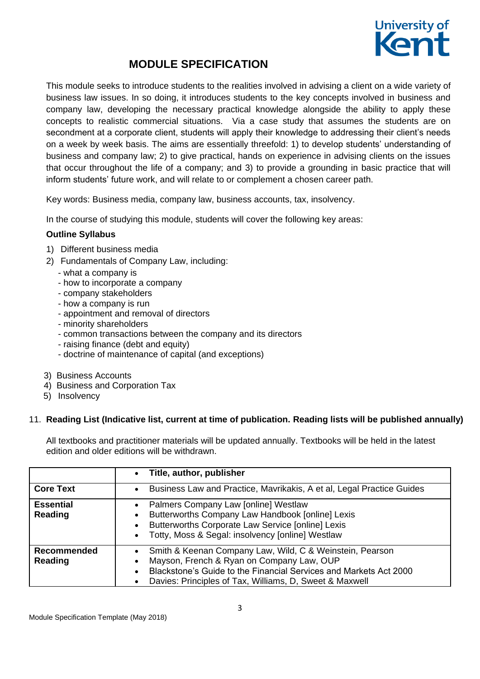

This module seeks to introduce students to the realities involved in advising a client on a wide variety of business law issues. In so doing, it introduces students to the key concepts involved in business and company law, developing the necessary practical knowledge alongside the ability to apply these concepts to realistic commercial situations. Via a case study that assumes the students are on secondment at a corporate client, students will apply their knowledge to addressing their client's needs on a week by week basis. The aims are essentially threefold: 1) to develop students' understanding of business and company law; 2) to give practical, hands on experience in advising clients on the issues that occur throughout the life of a company; and 3) to provide a grounding in basic practice that will inform students' future work, and will relate to or complement a chosen career path.

Key words: Business media, company law, business accounts, tax, insolvency.

In the course of studying this module, students will cover the following key areas:

### **Outline Syllabus**

- 1) Different business media
- 2) Fundamentals of Company Law, including:
	- what a company is
	- how to incorporate a company
	- company stakeholders
	- how a company is run
	- appointment and removal of directors
	- minority shareholders
	- common transactions between the company and its directors
	- raising finance (debt and equity)
	- doctrine of maintenance of capital (and exceptions)
- 3) Business Accounts
- 4) Business and Corporation Tax
- 5) Insolvency

### 11. **Reading List (Indicative list, current at time of publication. Reading lists will be published annually)**

All textbooks and practitioner materials will be updated annually. Textbooks will be held in the latest edition and older editions will be withdrawn.

|                             | Title, author, publisher<br>$\bullet$                                                                                                                                                                                                 |
|-----------------------------|---------------------------------------------------------------------------------------------------------------------------------------------------------------------------------------------------------------------------------------|
| <b>Core Text</b>            | Business Law and Practice, Mavrikakis, A et al, Legal Practice Guides<br>$\bullet$                                                                                                                                                    |
| <b>Essential</b><br>Reading | Palmers Company Law [online] Westlaw<br>Butterworths Company Law Handbook [online] Lexis<br>Butterworths Corporate Law Service [online] Lexis<br>Totty, Moss & Segal: insolvency [online] Westlaw                                     |
| Recommended<br>Reading      | Smith & Keenan Company Law, Wild, C & Weinstein, Pearson<br>Mayson, French & Ryan on Company Law, OUP<br>Blackstone's Guide to the Financial Services and Markets Act 2000<br>Davies: Principles of Tax, Williams, D. Sweet & Maxwell |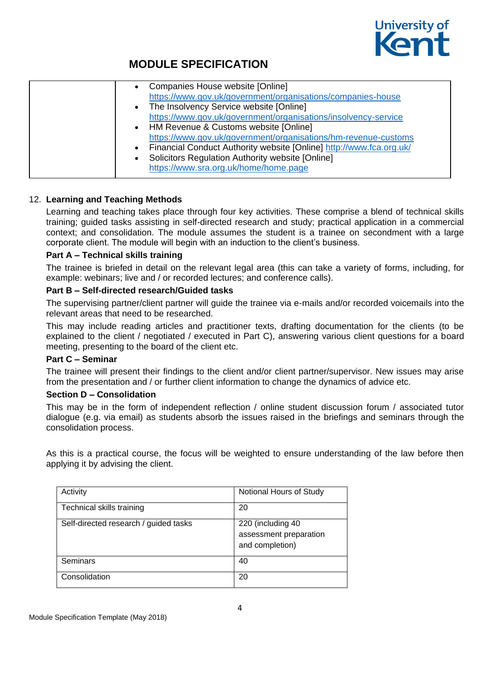

| Companies House website [Online]<br>https://www.gov.uk/government/organisations/companies-house<br>• The Insolvency Service website [Online]<br>https://www.gov.uk/government/organisations/insolvency-service<br>• HM Revenue & Customs website [Online]<br>https://www.gov.uk/government/organisations/hm-revenue-customs<br>Financial Conduct Authority website [Online] http://www.fca.org.uk/<br>$\bullet$<br>Solicitors Regulation Authority website [Online]<br>https://www.sra.org.uk/home/home.page |
|--------------------------------------------------------------------------------------------------------------------------------------------------------------------------------------------------------------------------------------------------------------------------------------------------------------------------------------------------------------------------------------------------------------------------------------------------------------------------------------------------------------|
|--------------------------------------------------------------------------------------------------------------------------------------------------------------------------------------------------------------------------------------------------------------------------------------------------------------------------------------------------------------------------------------------------------------------------------------------------------------------------------------------------------------|

### 12. **Learning and Teaching Methods**

Learning and teaching takes place through four key activities. These comprise a blend of technical skills training; guided tasks assisting in self-directed research and study; practical application in a commercial context; and consolidation. The module assumes the student is a trainee on secondment with a large corporate client. The module will begin with an induction to the client's business.

#### **Part A – Technical skills training**

The trainee is briefed in detail on the relevant legal area (this can take a variety of forms, including, for example: webinars; live and / or recorded lectures; and conference calls).

### **Part B – Self-directed research/Guided tasks**

The supervising partner/client partner will guide the trainee via e-mails and/or recorded voicemails into the relevant areas that need to be researched.

This may include reading articles and practitioner texts, drafting documentation for the clients (to be explained to the client / negotiated / executed in Part C), answering various client questions for a board meeting, presenting to the board of the client etc.

### **Part C – Seminar**

The trainee will present their findings to the client and/or client partner/supervisor. New issues may arise from the presentation and / or further client information to change the dynamics of advice etc.

#### **Section D – Consolidation**

This may be in the form of independent reflection / online student discussion forum / associated tutor dialogue (e.g. via email) as students absorb the issues raised in the briefings and seminars through the consolidation process.

As this is a practical course, the focus will be weighted to ensure understanding of the law before then applying it by advising the client.

| Activity                              | Notional Hours of Study                                        |
|---------------------------------------|----------------------------------------------------------------|
| Technical skills training             | 20                                                             |
| Self-directed research / guided tasks | 220 (including 40<br>assessment preparation<br>and completion) |
| Seminars                              | 40                                                             |
| Consolidation                         | 20                                                             |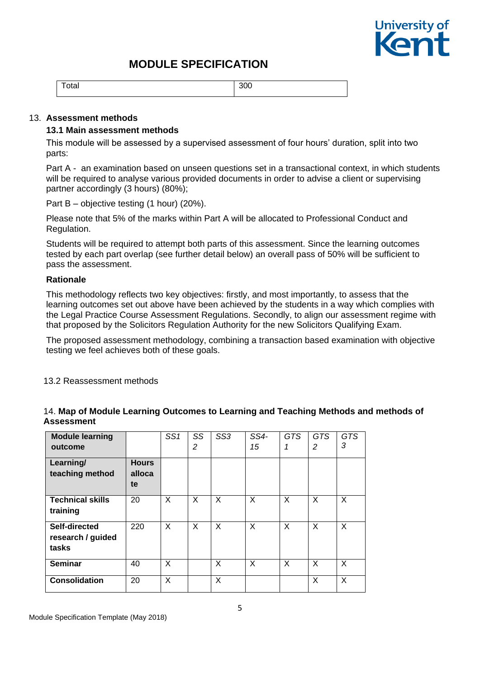

Total 300

#### 13. **Assessment methods**

#### **13.1 Main assessment methods**

This module will be assessed by a supervised assessment of four hours' duration, split into two parts:

Part A - an examination based on unseen questions set in a transactional context, in which students will be required to analyse various provided documents in order to advise a client or supervising partner accordingly (3 hours) (80%);

Part B – objective testing (1 hour) (20%).

Please note that 5% of the marks within Part A will be allocated to Professional Conduct and Regulation.

Students will be required to attempt both parts of this assessment. Since the learning outcomes tested by each part overlap (see further detail below) an overall pass of 50% will be sufficient to pass the assessment.

### **Rationale**

This methodology reflects two key objectives: firstly, and most importantly, to assess that the learning outcomes set out above have been achieved by the students in a way which complies with the Legal Practice Course Assessment Regulations. Secondly, to align our assessment regime with that proposed by the Solicitors Regulation Authority for the new Solicitors Qualifying Exam.

The proposed assessment methodology, combining a transaction based examination with objective testing we feel achieves both of these goals.

13.2 Reassessment methods

| <b>Module learning</b><br>outcome           |                              | SS <sub>1</sub> | SS<br>2  | SS <sub>3</sub> | SS4-<br>15 | <b>GTS</b><br>1 | <b>GTS</b><br>2 | <b>GTS</b><br>3 |
|---------------------------------------------|------------------------------|-----------------|----------|-----------------|------------|-----------------|-----------------|-----------------|
| Learning/<br>teaching method                | <b>Hours</b><br>alloca<br>te |                 |          |                 |            |                 |                 |                 |
| <b>Technical skills</b><br>training         | 20                           | X               | $\times$ | $\times$        | X          | X               | X               | X               |
| Self-directed<br>research / guided<br>tasks | 220                          | X               | $\times$ | $\times$        | X          | X               | X               | X               |
| <b>Seminar</b>                              | 40                           | X               |          | X               | X          | $\times$        | X               | X               |
| <b>Consolidation</b>                        | 20                           | X               |          | X               |            |                 | X               | X               |

### 14. **Map of Module Learning Outcomes to Learning and Teaching Methods and methods of Assessment**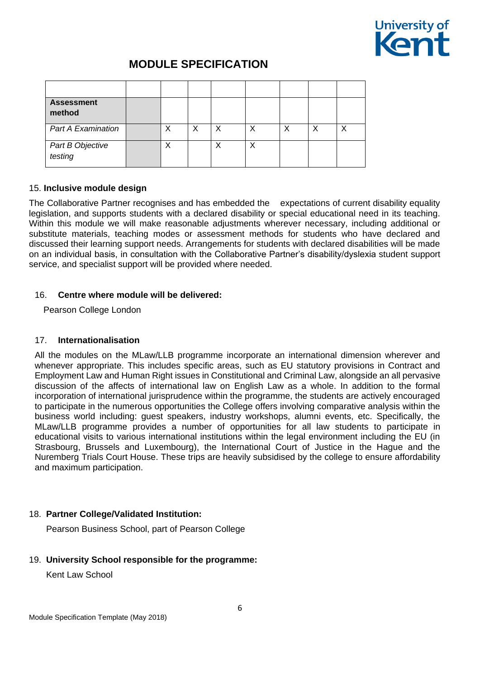

| <b>Assessment</b><br>method |   |   |   |   |  |  |
|-----------------------------|---|---|---|---|--|--|
| <b>Part A Examination</b>   | Χ | Х |   |   |  |  |
| Part B Objective<br>testing | Χ |   | Χ | Χ |  |  |

### 15. **Inclusive module design**

The Collaborative Partner recognises and has embedded the expectations of current disability equality legislation, and supports students with a declared disability or special educational need in its teaching. Within this module we will make reasonable adjustments wherever necessary, including additional or substitute materials, teaching modes or assessment methods for students who have declared and discussed their learning support needs. Arrangements for students with declared disabilities will be made on an individual basis, in consultation with the Collaborative Partner's disability/dyslexia student support service, and specialist support will be provided where needed.

### 16. **Centre where module will be delivered:**

Pearson College London

### 17. **Internationalisation**

All the modules on the MLaw/LLB programme incorporate an international dimension wherever and whenever appropriate. This includes specific areas, such as EU statutory provisions in Contract and Employment Law and Human Right issues in Constitutional and Criminal Law, alongside an all pervasive discussion of the affects of international law on English Law as a whole. In addition to the formal incorporation of international jurisprudence within the programme, the students are actively encouraged to participate in the numerous opportunities the College offers involving comparative analysis within the business world including: guest speakers, industry workshops, alumni events, etc. Specifically, the MLaw/LLB programme provides a number of opportunities for all law students to participate in educational visits to various international institutions within the legal environment including the EU (in Strasbourg, Brussels and Luxembourg), the International Court of Justice in the Hague and the Nuremberg Trials Court House. These trips are heavily subsidised by the college to ensure affordability and maximum participation.

## 18. **Partner College/Validated Institution:**

Pearson Business School, part of Pearson College

### 19. **University School responsible for the programme:**

Kent Law School